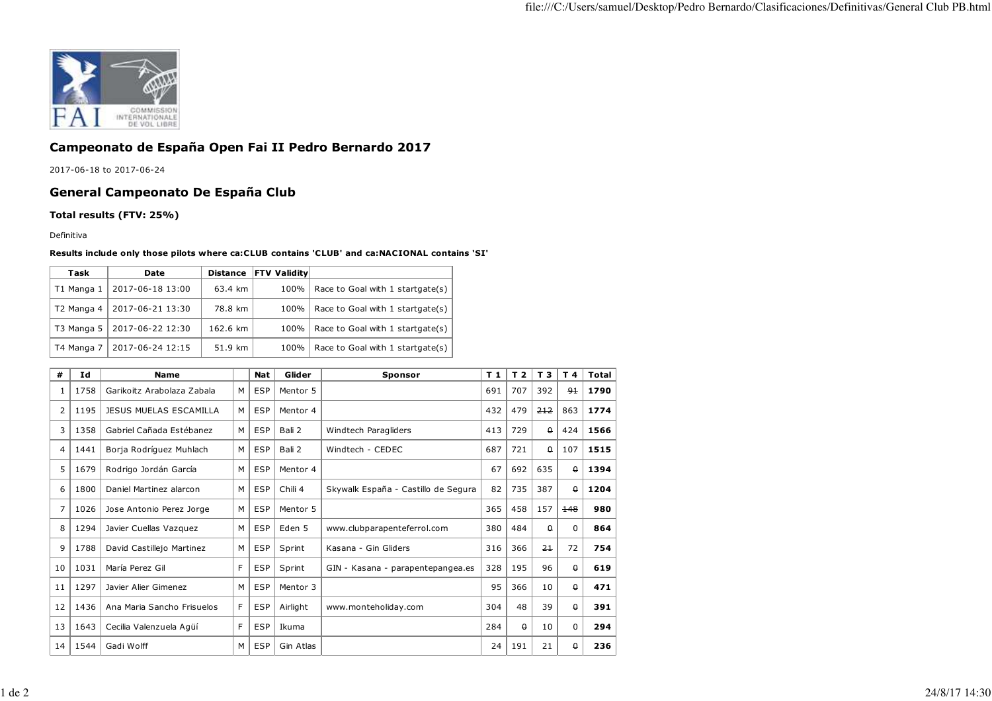

## **Campeonato de España Open Fai II Pedro Bernardo 2017**

2017-06-18 to 2017-06-24

## **General Campeonato De España Club**

**Total results (FTV: 25%)**

Definitiva

## **Results include only those pilots where ca:CLUB contains 'CLUB' and ca:NACIONAL contains 'SI'**

| Task       | Date             | <b>Distance</b> | <b>FTV Validitv</b> |                                         |
|------------|------------------|-----------------|---------------------|-----------------------------------------|
| T1 Manga 1 | 2017-06-18 13:00 | 63.4 km         |                     | 100%   Race to Goal with 1 startgate(s) |
| T2 Manga 4 | 2017-06-21 13:30 | 78.8 km         | 100%                | Race to Goal with 1 startgate(s)        |
| T3 Manga 5 | 2017-06-22 12:30 | 162.6 km        | 100%                | Race to Goal with 1 startgate(s)        |
| T4 Manga 7 | 2017-06-24 12:15 | 51.9 km         | 100%                | Race to Goal with 1 startgate(s)        |

| #              | Ιd   | <b>Name</b>                |   | <b>Nat</b> | Glider    | <b>Sponsor</b>                      | T <sub>1</sub> | T <sub>2</sub> | T 3      | T 4         | Total |
|----------------|------|----------------------------|---|------------|-----------|-------------------------------------|----------------|----------------|----------|-------------|-------|
| 1              | 1758 | Garikoitz Arabolaza Zabala | M | <b>ESP</b> | Mentor 5  |                                     |                | 707            | 392      | $9+$        | 1790  |
| $\overline{2}$ | 1195 | JESUS MUELAS ESCAMILLA     | M | <b>ESP</b> | Mentor 4  |                                     | 432            | 479            | 212      | 863         | 1774  |
| 3              | 1358 | Gabriel Cañada Estébanez   | M | <b>ESP</b> | Bali 2    | Windtech Paragliders                | 413            | 729            | $\theta$ | 424         | 1566  |
| 4              | 1441 | Borja Rodríguez Muhlach    | M | <b>ESP</b> | Bali 2    | Windtech - CEDEC                    |                | 721            | $\Omega$ | 107         | 1515  |
| 5              | 1679 | Rodrigo Jordán García      | M | <b>ESP</b> | Mentor 4  |                                     | 67             | 692            | 635      | $\theta$    | 1394  |
| 6              | 1800 | Daniel Martinez alarcon    | M | <b>ESP</b> | Chili 4   | Skywalk España - Castillo de Segura | 82             | 735            | 387      | $\theta$    | 1204  |
| 7              | 1026 | Jose Antonio Perez Jorge   | M | <b>ESP</b> | Mentor 5  |                                     | 365            | 458            | 157      | 148         | 980   |
| 8              | 1294 | Javier Cuellas Vazquez     | M | <b>ESP</b> | Eden 5    | www.clubparapenteferrol.com         | 380            | 484            | 0        | $\mathbf 0$ | 864   |
| 9              | 1788 | David Castillejo Martinez  | M | <b>ESP</b> | Sprint    | Kasana - Gin Gliders                | 316            | 366            | $2+$     | 72          | 754   |
| 10             | 1031 | María Perez Gil            | F | <b>ESP</b> | Sprint    | GIN - Kasana - parapentepangea.es   | 328            | 195            | 96       | $\theta$    | 619   |
| 11             | 1297 | Javier Alier Gimenez       | M | <b>ESP</b> | Mentor 3  |                                     | 95             | 366            | 10       | $\theta$    | 471   |
| 12             | 1436 | Ana Maria Sancho Frisuelos | F | <b>ESP</b> | Airlight  | www.monteholiday.com                | 304            | 48             | 39       | $\theta$    | 391   |
| 13             | 1643 | Cecilia Valenzuela Agüí    | F | <b>ESP</b> | Ikuma     |                                     | 284            | $\theta$       | 10       | $\Omega$    | 294   |
| 14             | 1544 | Gadi Wolff                 | M | <b>ESP</b> | Gin Atlas |                                     | 24             | 191            | 21       | 0           | 236   |